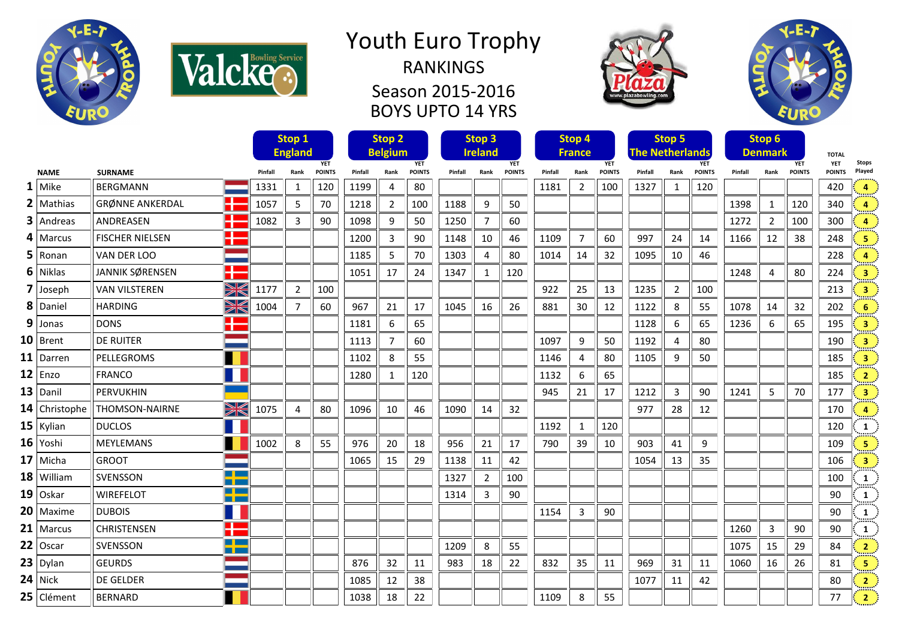



Season 2015-2016 BOYS UPTO 14 YRS





|   |               |                                   |                         |         | Stop 1<br><b>England</b><br><b>YET</b> |               |         | Stop <sub>2</sub><br><b>Belgium</b><br><b>YET</b> |               |         | Stop 3<br><b>Ireland</b><br><b>YET</b> |               |         | Stop 4<br><b>France</b><br><b>YET</b> |               |         | Stop 5<br><b>The Netherlands</b> | <b>YET</b>    |         | Stop 6<br><b>Denmark</b> | <b>YET</b>    | <b>TOTAL</b><br><b>YET</b> | <b>Stops</b>            |
|---|---------------|-----------------------------------|-------------------------|---------|----------------------------------------|---------------|---------|---------------------------------------------------|---------------|---------|----------------------------------------|---------------|---------|---------------------------------------|---------------|---------|----------------------------------|---------------|---------|--------------------------|---------------|----------------------------|-------------------------|
|   | <b>NAME</b>   | <b>SURNAME</b>                    |                         | Pinfall | Rank                                   | <b>POINTS</b> | Pinfall | Rank                                              | <b>POINTS</b> | Pinfall | Rank                                   | <b>POINTS</b> | Pinfall | Rank                                  | <b>POINTS</b> | Pinfall | Rank                             | <b>POINTS</b> | Pinfall | Rank                     | <b>POINTS</b> | <b>POINTS</b>              | Played                  |
| 1 | Mike          | <b>BFRGMANN</b>                   |                         | 1331    | 1                                      | 120           | 1199    | 4                                                 | 80            |         |                                        |               | 1181    | $\overline{2}$                        | 100           | 1327    | 1                                | 120           |         |                          |               | 420                        | 4                       |
|   | $2$ Mathias   | ▁▁<br><b>GRØNNE ANKERDAL</b><br>П |                         | 1057    | 5                                      | 70            | 1218    | $\overline{2}$                                    | 100           | 1188    | 9                                      | 50            |         |                                       |               |         |                                  |               | 1398    | $\mathbf{1}$             | 120           | 340                        | $\overline{a}$          |
|   | $3$   Andreas | H<br>ANDREASEN                    |                         | 1082    | 3                                      | 90            | 1098    | 9                                                 | 50            | 1250    | $\overline{7}$                         | 60            |         |                                       |               |         |                                  |               | 1272    | $\overline{2}$           | 100           | 300                        | 4                       |
|   | $4$   Marcus  | <b>FISCHER NIELSEN</b>            | ۲Ë                      |         |                                        |               | 1200    | 3                                                 | 90            | 1148    | 10                                     | 46            | 1109    | $\overline{7}$                        | 60            | 997     | 24                               | 14            | 1166    | 12                       | 38            | 248                        | 5                       |
|   | $5 $ Ronan    | VAN DER LOO                       |                         |         |                                        |               | 1185    | -5                                                | 70            | 1303    | 4                                      | 80            | 1014    | 14                                    | 32            | 1095    | 10                               | 46            |         |                          |               | 228                        |                         |
|   | $6$ Niklas    | JANNIK SØRENSEN                   | Ŧ                       |         |                                        |               | 1051    | 17                                                | 24            | 1347    | 1                                      | 120           |         |                                       |               |         |                                  |               | 1248    | 4                        | 80            | 224                        | $\overline{\mathbf{3}}$ |
|   | $7$ Joseph    | <b>VAN VILSTEREN</b>              | X                       | 1177    | $\overline{2}$                         | 100           |         |                                                   |               |         |                                        |               | 922     | 25                                    | 13            | 1235    | $\overline{2}$                   | 100           |         |                          |               | 213                        | $\overline{\mathbf{3}}$ |
|   | 8 Daniel      | <b>HARDING</b>                    | W                       | 1004    | $\overline{7}$                         | 60            | 967     | 21                                                | 17            | 1045    | 16                                     | 26            | 881     | 30                                    | 12            | 1122    | 8                                | 55            | 1078    | 14                       | 32            | 202                        | 6                       |
|   | $9$ Jonas     | <b>DONS</b>                       | <b>The State</b><br>n – |         |                                        |               | 1181    | 6                                                 | 65            |         |                                        |               |         |                                       |               | 1128    | 6                                | 65            | 1236    | 6                        | 65            | 195                        | $\overline{\mathbf{3}}$ |
|   | $10$ Brent    | <b>DE RUITER</b>                  |                         |         |                                        |               | 1113    | $\overline{7}$                                    | 60            |         |                                        |               | 1097    | 9                                     | 50            | 1192    | 4                                | 80            |         |                          |               | 190                        | $\overline{\mathbf{3}}$ |
|   | $11$ Darren   | PELLEGROMS                        |                         |         |                                        |               | 1102    | 8                                                 | 55            |         |                                        |               | 1146    | $\overline{4}$                        | 80            | 1105    | 9                                | 50            |         |                          |               | 185                        | 3                       |
|   | $12$ Enzo     | <b>FRANCO</b>                     |                         |         |                                        |               | 1280    | $\mathbf{1}$                                      | 120           |         |                                        |               | 1132    | 6                                     | 65            |         |                                  |               |         |                          |               | 185                        | $\overline{2}$          |
|   | $13$ Danil    | <b>PERVUKHIN</b>                  |                         |         |                                        |               |         |                                                   |               |         |                                        |               | 945     | 21                                    | 17            | 1212    | 3                                | 90            | 1241    | 5                        | 70            | 177                        | $\overline{\mathbf{3}}$ |
|   | 14 Christophe | <b>THOMSON-NAIRNE</b>             | XK                      | 1075    | $\overline{4}$                         | 80            | 1096    | 10                                                | 46            | 1090    | 14                                     | 32            |         |                                       |               | 977     | 28                               | 12            |         |                          |               | 170                        | $\overline{a}$          |
|   | $15$ Kylian   | <b>DUCLOS</b>                     |                         |         |                                        |               |         |                                                   |               |         |                                        |               | 1192    | $\mathbf{1}$                          | 120           |         |                                  |               |         |                          |               | 120                        | 1                       |
|   | $16$ Yoshi    | <b>MEYLEMANS</b>                  |                         | 1002    | 8                                      | 55            | 976     | 20                                                | 18            | 956     | 21                                     | 17            | 790     | 39                                    | 10            | 903     | 41                               | 9             |         |                          |               | 109                        | 5                       |
|   | $17$ Micha    | <b>GROOT</b>                      |                         |         |                                        |               | 1065    | 15                                                | 29            | 1138    | 11                                     | 42            |         |                                       |               | 1054    | 13                               | 35            |         |                          |               | 106                        | $\overline{\mathbf{3}}$ |
|   | 18 William    | SVENSSON                          | <b>The Co</b><br>T PI   |         |                                        |               |         |                                                   |               | 1327    | $\mathbf{2}$                           | 100           |         |                                       |               |         |                                  |               |         |                          |               | 100                        | 1                       |
|   | $19$ Oskar    | <b>WIREFELOT</b>                  | <u>a ka</u><br>T PI     |         |                                        |               |         |                                                   |               | 1314    | 3                                      | 90            |         |                                       |               |         |                                  |               |         |                          |               | 90                         | 1                       |
|   | $20$   Maxime | <b>DUBOIS</b>                     | 11                      |         |                                        |               |         |                                                   |               |         |                                        |               | 1154    | 3                                     | 90            |         |                                  |               |         |                          |               | 90                         | 1                       |
|   | $21$ Marcus   | <b>CHRISTENSEN</b>                | <u>s and</u><br>œ       |         |                                        |               |         |                                                   |               |         |                                        |               |         |                                       |               |         |                                  |               | 1260    | 3                        | 90            | 90                         | 1                       |
|   | $22$ Oscar    | SVENSSON                          | <u>s and</u>            |         |                                        |               |         |                                                   |               | 1209    | 8                                      | 55            |         |                                       |               |         |                                  |               | 1075    | 15                       | 29            | 84                         | $\overline{2}$          |
|   | $23$ Dylan    | <b>GEURDS</b>                     |                         |         |                                        |               | 876     | 32                                                | 11            | 983     | 18                                     | 22            | 832     | 35                                    | 11            | 969     | 31                               | 11            | 1060    | 16                       | 26            | 81                         | 5                       |
|   | $24$ Nick     | DE GELDER                         |                         |         |                                        |               | 1085    | 12                                                | 38            |         |                                        |               |         |                                       |               | 1077    | 11                               | 42            |         |                          |               | 80                         | $\overline{2}$          |
|   | 25 Clément    | <b>BERNARD</b>                    |                         |         |                                        |               | 1038    | 18                                                | 22            |         |                                        |               | 1109    | 8                                     | 55            |         |                                  |               |         |                          |               | 77                         | $\overline{2}$          |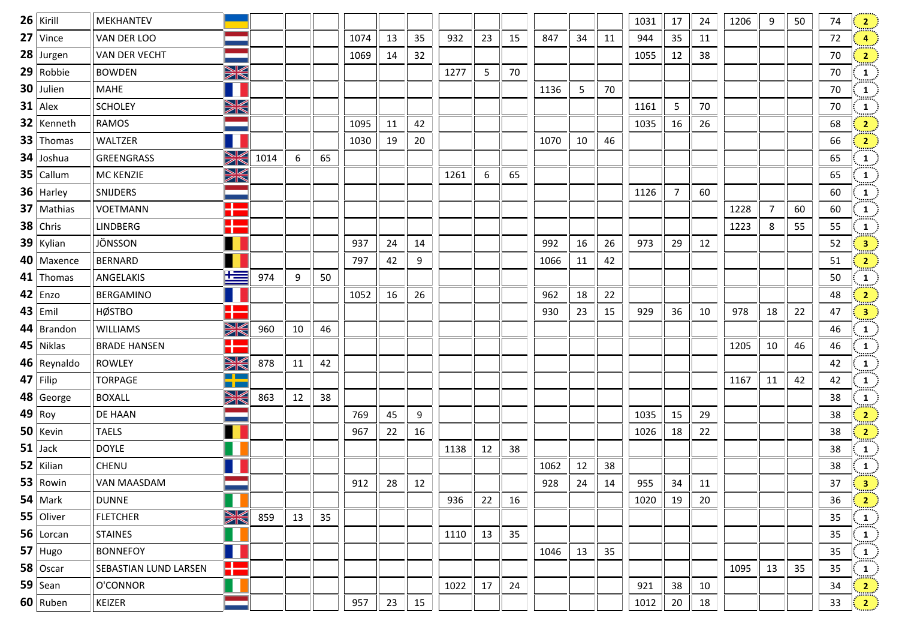| $26$ Kirill    | MEKHANTEV             |                            |      |    |    |      |    |    |      |    |    |      |    |    | 1031 | 17 | 24 | 1206 | 9  | 50 | 74 | 2                                               |
|----------------|-----------------------|----------------------------|------|----|----|------|----|----|------|----|----|------|----|----|------|----|----|------|----|----|----|-------------------------------------------------|
| $27$ Vince     | VAN DER LOO           |                            |      |    |    | 1074 | 13 | 35 | 932  | 23 | 15 | 847  | 34 | 11 | 944  | 35 | 11 |      |    |    | 72 | $\overline{4}$                                  |
| $28$ Jurgen    | VAN DER VECHT         |                            |      |    |    | 1069 | 14 | 32 |      |    |    |      |    |    | 1055 | 12 | 38 |      |    |    | 70 | $\frac{2}{2}$                                   |
| $29$ Robbie    | <b>BOWDEN</b>         | XK                         |      |    |    |      |    |    | 1277 | 5  | 70 |      |    |    |      |    |    |      |    |    | 70 | $\mathbf{1}$<br>mut '                           |
| $30$ Julien    | <b>MAHE</b>           | H                          |      |    |    |      |    |    |      |    |    | 1136 | 5  | 70 |      |    |    |      |    |    | 70 | $\frac{1}{2}$                                   |
| $31$ Alex      | <b>SCHOLEY</b>        | X                          |      |    |    |      |    |    |      |    |    |      |    |    | 1161 | 5  | 70 |      |    |    | 70 | $\frac{1}{2}$                                   |
| $32$ Kenneth   | <b>RAMOS</b>          |                            |      |    |    | 1095 | 11 | 42 |      |    |    |      |    |    | 1035 | 16 | 26 |      |    |    | 68 | $\sqrt{2}$                                      |
| $33$ Thomas    | WALTZER               |                            |      |    |    | 1030 | 19 | 20 |      |    |    | 1070 | 10 | 46 |      |    |    |      |    |    | 66 | $\frac{2}{2}$                                   |
| $34$ Joshua    | GREENGRASS            | X                          | 1014 | 6  | 65 |      |    |    |      |    |    |      |    |    |      |    |    |      |    |    | 65 | $\frac{1}{\ldots}$                              |
| $35$ Callum    | MC KENZIE             | XK                         |      |    |    |      |    |    | 1261 | 6  | 65 |      |    |    |      |    |    |      |    |    | 65 | $\frac{1}{\text{max}}$                          |
| $36$ Harley    | SNIJDERS              |                            |      |    |    |      |    |    |      |    |    |      |    |    | 1126 | 7  | 60 |      |    |    | 60 | $\frac{1}{\sin \pi}$                            |
| $37$ Mathias   | <b>VOETMANN</b>       | ł                          |      |    |    |      |    |    |      |    |    |      |    |    |      |    |    | 1228 | 7  | 60 | 60 | $\frac{1}{2}$                                   |
| $38$ Chris     | <b>LINDBERG</b>       | <b>The Second</b><br>a an  |      |    |    |      |    |    |      |    |    |      |    |    |      |    |    | 1223 | 8  | 55 | 55 | $\mathbf{1}$                                    |
| $39$ Kylian    | JÖNSSON               |                            |      |    |    | 937  | 24 | 14 |      |    |    | 992  | 16 | 26 | 973  | 29 | 12 |      |    |    | 52 | $\frac{3}{2}$                                   |
| $40$ Maxence   | <b>BERNARD</b>        |                            |      |    |    | 797  | 42 | 9  |      |    |    | 1066 | 11 | 42 |      |    |    |      |    |    | 51 | $\frac{2}{2}$                                   |
| $41$ Thomas    | ANGELAKIS             | 罩                          | 974  | 9  | 50 |      |    |    |      |    |    |      |    |    |      |    |    |      |    |    | 50 | $\mathbf{1}$                                    |
| $42$ Enzo      | <b>BERGAMINO</b>      |                            |      |    |    | 1052 | 16 | 26 |      |    |    | 962  | 18 | 22 |      |    |    |      |    |    | 48 | $\left  \frac{2}{\pi} \right $                  |
| $43$ Emil      | <b>HØSTBO</b>         | T٣                         |      |    |    |      |    |    |      |    |    | 930  | 23 | 15 | 929  | 36 | 10 | 978  | 18 | 22 | 47 | $\frac{3}{2}$                                   |
| $44$   Brandon | <b>WILLIAMS</b>       | XK                         | 960  | 10 | 46 |      |    |    |      |    |    |      |    |    |      |    |    |      |    |    | 46 | $\mathbf{1}$<br>mm:                             |
| $45$ Niklas    | <b>BRADE HANSEN</b>   | a pro<br>п,                |      |    |    |      |    |    |      |    |    |      |    |    |      |    |    | 1205 | 10 | 46 | 46 | $\frac{1}{\text{max}}$                          |
| $46$ Reynaldo  | <b>ROWLEY</b>         | XK                         | 878  | 11 | 42 |      |    |    |      |    |    |      |    |    |      |    |    |      |    |    | 42 | $\frac{1}{1}$                                   |
| $47$ Filip     | <b>TORPAGE</b>        | <u>a pa</u><br><u>m an</u> |      |    |    |      |    |    |      |    |    |      |    |    |      |    |    | 1167 | 11 | 42 | 42 | $\mathbf{1}$<br>mm:                             |
| $48$ George    | <b>BOXALL</b>         | XK                         | 863  | 12 | 38 |      |    |    |      |    |    |      |    |    |      |    |    |      |    |    | 38 | $\frac{1}{\text{max}}$                          |
| $49$ Roy       | DE HAAN               |                            |      |    |    | 769  | 45 | 9  |      |    |    |      |    |    | 1035 | 15 | 29 |      |    |    | 38 | $\frac{2}{\pi}$                                 |
| $50$ Kevin     | <b>TAELS</b>          |                            |      |    |    | 967  | 22 | 16 |      |    |    |      |    |    | 1026 | 18 | 22 |      |    |    | 38 | $\frac{2}{\pi}$                                 |
| $51$ Jack      | <b>DOYLE</b>          |                            |      |    |    |      |    |    | 1138 | 12 | 38 |      |    |    |      |    |    |      |    |    | 38 | $\frac{1}{\text{max}}$                          |
| $52$ Kilian    | CHENU                 |                            |      |    |    |      |    |    |      |    |    | 1062 | 12 | 38 |      |    |    |      |    |    | 38 | $\frac{1}{\sin \theta}$                         |
| $53$ Rowin     | VAN MAASDAM           |                            |      |    |    | 912  | 28 | 12 |      |    |    | 928  | 24 | 14 | 955  | 34 | 11 |      |    |    | 37 | $\left  \frac{3}{2} \right $                    |
| $54$ Mark      | <b>DUNNE</b>          |                            |      |    |    |      |    |    | 936  | 22 | 16 |      |    |    | 1020 | 19 | 20 |      |    |    | 36 | $\mathbf{2}$                                    |
| 55 Oliver      | <b>FLETCHER</b>       | X                          | 859  | 13 | 35 |      |    |    |      |    |    |      |    |    |      |    |    |      |    |    | 35 | $\left  \begin{array}{c} 1 \end{array} \right $ |
| $56$ Lorcan    | <b>STAINES</b>        |                            |      |    |    |      |    |    | 1110 | 13 | 35 |      |    |    |      |    |    |      |    |    | 35 | mm:<br>$\mathbf{1}$                             |
| $57$ Hugo      | <b>BONNEFOY</b>       |                            |      |    |    |      |    |    |      |    |    | 1046 | 13 | 35 |      |    |    |      |    |    | 35 | $\mathbf{1}$                                    |
| $58$ Oscar     | SEBASTIAN LUND LARSEN | ٢m                         |      |    |    |      |    |    |      |    |    |      |    |    |      |    |    | 1095 | 13 | 35 | 35 | $\left  \begin{array}{c} 1 \end{array} \right $ |
| $59$ Sean      | O'CONNOR              |                            |      |    |    |      |    |    | 1022 | 17 | 24 |      |    |    | 921  | 38 | 10 |      |    |    | 34 | 2 <sup>3</sup>                                  |
| $60$ Ruben     | KEIZER                |                            |      |    |    | 957  | 23 | 15 |      |    |    |      |    |    | 1012 | 20 | 18 |      |    |    | 33 | $\sqrt{2}$                                      |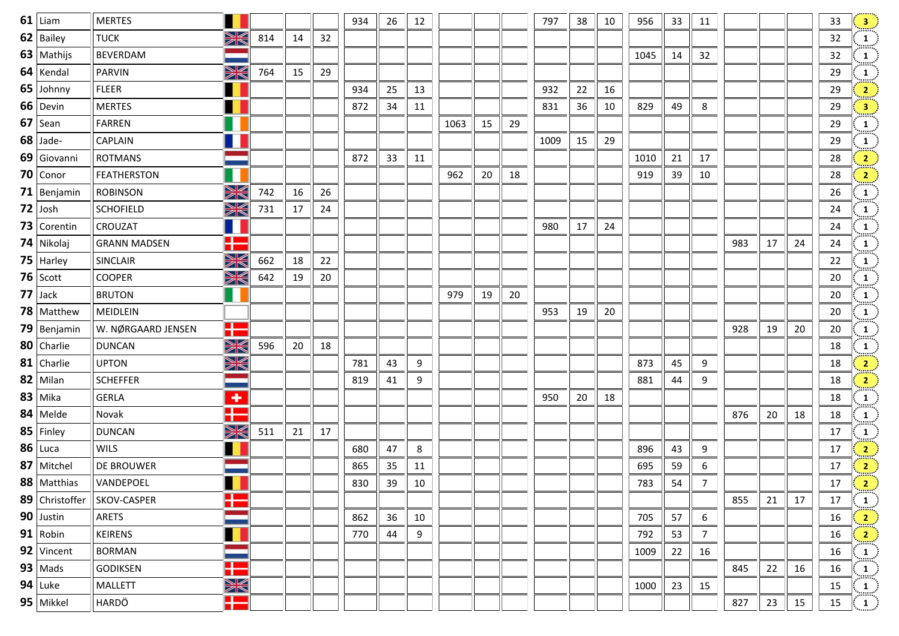| $61$ Liam      | <b>MERTES</b>       |                         |     |    |    | 934 | 26 | 12 |      |    |    | 797  | 38 | 10 | 956  | 33 | 11             |     |    |    | 33 | $\left  \frac{3}{2} \right $                    |
|----------------|---------------------|-------------------------|-----|----|----|-----|----|----|------|----|----|------|----|----|------|----|----------------|-----|----|----|----|-------------------------------------------------|
| $62$   Bailey  | <b>TUCK</b>         | W                       | 814 | 14 | 32 |     |    |    |      |    |    |      |    |    |      |    |                |     |    |    | 32 | $\boxed{1}$                                     |
| 63   Mathijs   | <b>BEVERDAM</b>     |                         |     |    |    |     |    |    |      |    |    |      |    |    | 1045 | 14 | 32             |     |    |    | 32 | $\frac{1}{\ldots}$                              |
| $64$ Kendal    | PARVIN              | W                       | 764 | 15 | 29 |     |    |    |      |    |    |      |    |    |      |    |                |     |    |    | 29 | $\mathbf{1}$                                    |
| 65 Johnny      | <b>FLEER</b>        |                         |     |    |    | 934 | 25 | 13 |      |    |    | 932  | 22 | 16 |      |    |                |     |    |    | 29 | $\mathbf{2}$                                    |
| $66$ Devin     | <b>MERTES</b>       |                         |     |    |    | 872 | 34 | 11 |      |    |    | 831  | 36 | 10 | 829  | 49 | 8              |     |    |    | 29 | $\left  \begin{array}{c} 3 \end{array} \right $ |
| $67$ Sean      | FARREN              |                         |     |    |    |     |    |    | 1063 | 15 | 29 |      |    |    |      |    |                |     |    |    | 29 | $\frac{1}{2}$                                   |
| $68$ Jade-     | CAPLAIN             |                         |     |    |    |     |    |    |      |    |    | 1009 | 15 | 29 |      |    |                |     |    |    | 29 | $\mathbf{1}$                                    |
| 69 Giovanni    | <b>ROTMANS</b>      |                         |     |    |    | 872 | 33 | 11 |      |    |    |      |    |    | 1010 | 21 | 17             |     |    |    | 28 | $\left  \frac{2}{2} \right $                    |
| $70$ Conor     | <b>FEATHERSTON</b>  |                         |     |    |    |     |    |    | 962  | 20 | 18 |      |    |    | 919  | 39 | 10             |     |    |    | 28 | $\frac{2}{\cdots}$                              |
| $71$ Benjamin  | <b>ROBINSON</b>     | XK                      | 742 | 16 | 26 |     |    |    |      |    |    |      |    |    |      |    |                |     |    |    | 26 | $\frac{1}{2}$                                   |
| $72$ Josh      | <b>SCHOFIELD</b>    | X                       | 731 | 17 | 24 |     |    |    |      |    |    |      |    |    |      |    |                |     |    |    | 24 | $\frac{1}{\ldots}$                              |
| 73 Corentin    | <b>CROUZAT</b>      |                         |     |    |    |     |    |    |      |    |    | 980  | 17 | 24 |      |    |                |     |    |    | 24 | $\frac{1}{2}$                                   |
| $74$ Nikolaj   | <b>GRANN MADSEN</b> | E                       |     |    |    |     |    |    |      |    |    |      |    |    |      |    |                | 983 | 17 | 24 | 24 | $\frac{1}{2}$                                   |
| 75   Harley    | SINCLAIR            | WK                      | 662 | 18 | 22 |     |    |    |      |    |    |      |    |    |      |    |                |     |    |    | 22 | $\frac{1}{2}$                                   |
| $76$ Scott     | <b>COOPER</b>       | X                       | 642 | 19 | 20 |     |    |    |      |    |    |      |    |    |      |    |                |     |    |    | 20 | $\frac{1}{2}$                                   |
| $77$ Jack      | <b>BRUTON</b>       |                         |     |    |    |     |    |    | 979  | 19 | 20 |      |    |    |      |    |                |     |    |    | 20 | $\frac{1}{2}$                                   |
| $78$ Matthew   | MEIDLEIN            |                         |     |    |    |     |    |    |      |    |    | 953  | 19 | 20 |      |    |                |     |    |    | 20 | $\frac{1}{\cdots}$                              |
| 79 Benjamin    | W. NØRGAARD JENSEN  | H                       |     |    |    |     |    |    |      |    |    |      |    |    |      |    |                | 928 | 19 | 20 | 20 | $\frac{1}{1}$                                   |
| 80 Charlie     | <b>DUNCAN</b>       | W                       | 596 | 20 | 18 |     |    |    |      |    |    |      |    |    |      |    |                |     |    |    | 18 | $\mathbf{1}$                                    |
| $81$ Charlie   | <b>UPTON</b>        | XK                      |     |    |    | 781 | 43 | 9  |      |    |    |      |    |    | 873  | 45 | 9              |     |    |    | 18 | $\mathbf{2}$                                    |
| $82$ Milan     | <b>SCHEFFER</b>     |                         |     |    |    | 819 | 41 | 9  |      |    |    |      |    |    | 881  | 44 | 9              |     |    |    | 18 | $\frac{2}{100}$                                 |
| $83$ Mika      | <b>GERLA</b>        | $\overline{\textbf{r}}$ |     |    |    |     |    |    |      |    |    | 950  | 20 | 18 |      |    |                |     |    |    | 18 | $\frac{1}{\text{max}}$                          |
| $84$ Melde     | Novak               | Ŧ                       |     |    |    |     |    |    |      |    |    |      |    |    |      |    |                | 876 | 20 | 18 | 18 | $\frac{1}{\sin \pi}$                            |
| $85$ Finley    | <b>DUNCAN</b>       | Ж                       | 511 | 21 | 17 |     |    |    |      |    |    |      |    |    |      |    |                |     |    |    | 17 | $\mathbf{1}$                                    |
| $86$ Luca      | <b>WILS</b>         |                         |     |    |    | 680 | 47 | 8  |      |    |    |      |    |    | 896  | 43 | 9              |     |    |    | 17 | $2 \frac{1}{2}$                                 |
| 87 Mitchel     | <b>DE BROUWER</b>   |                         |     |    |    | 865 | 35 | 11 |      |    |    |      |    |    | 695  | 59 | 6              |     |    |    | 17 | $\frac{2}{\sin \theta}$                         |
| 88 Matthias    | VANDEPOEL           |                         |     |    |    | 830 | 39 | 10 |      |    |    |      |    |    | 783  | 54 | $\overline{7}$ |     |    |    | 17 | $\left  \frac{2}{2} \right $                    |
| 89 Christoffer | <b>SKOV-CASPER</b>  | ╂                       |     |    |    |     |    |    |      |    |    |      |    |    |      |    |                | 855 | 21 | 17 | 17 | $\frac{1}{\min}$                                |
| $90$ Justin    | <b>ARETS</b>        |                         |     |    |    | 862 | 36 | 10 |      |    |    |      |    |    | 705  | 57 | 6              |     |    |    | 16 | $\frac{2}{2}$                                   |
| $91$ Robin     | <b>KEIRENS</b>      |                         |     |    |    | 770 | 44 | 9  |      |    |    |      |    |    | 792  | 53 | $\overline{7}$ |     |    |    | 16 | $\sqrt{2}$                                      |
| 92 Vincent     | <b>BORMAN</b>       |                         |     |    |    |     |    |    |      |    |    |      |    |    | 1009 | 22 | 16             |     |    |    | 16 | $\frac{1}{2}$                                   |
| $93$ Mads      | <b>GODIKSEN</b>     | ł                       |     |    |    |     |    |    |      |    |    |      |    |    |      |    |                | 845 | 22 | 16 | 16 | $\frac{1}{\sin \theta}$                         |
| $94$ Luke      | <b>MALLETT</b>      | X                       |     |    |    |     |    |    |      |    |    |      |    |    | 1000 | 23 | 15             |     |    |    | 15 | $\frac{1}{2}$                                   |
| $95$ Mikkel    | HARDÖ               | H                       |     |    |    |     |    |    |      |    |    |      |    |    |      |    |                | 827 | 23 | 15 | 15 | $\frac{1}{2}$                                   |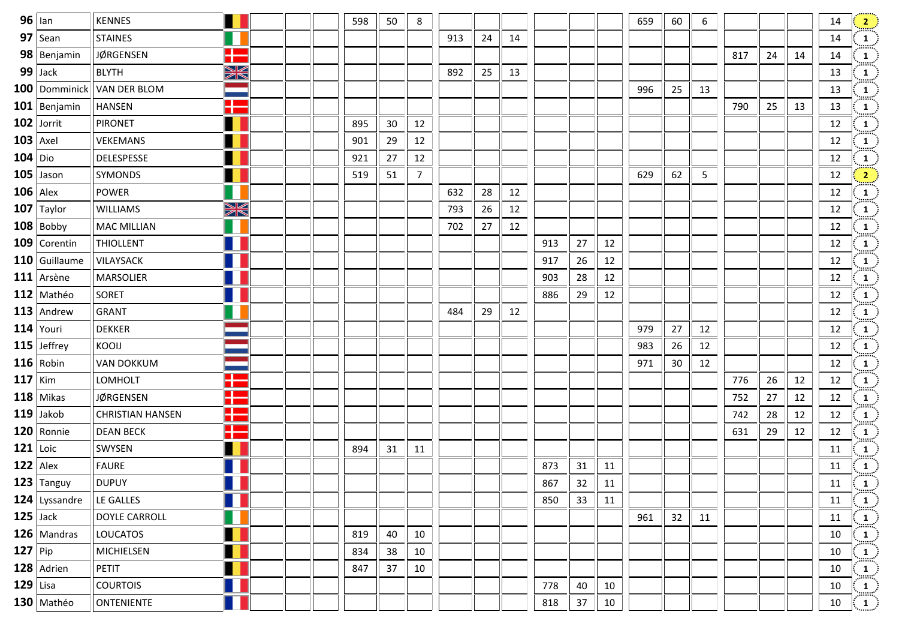|           | $96$ lan       | <b>KENNES</b>           |                                     |  | 598 | 50 | 8              |     |    |    |     |    |    | 659 | 60 | 6  |     |    |    | 14              | $\left \frac{2}{2}\right $                                                                                                                                                                                   |
|-----------|----------------|-------------------------|-------------------------------------|--|-----|----|----------------|-----|----|----|-----|----|----|-----|----|----|-----|----|----|-----------------|--------------------------------------------------------------------------------------------------------------------------------------------------------------------------------------------------------------|
|           | $97$ Sean      | <b>STAINES</b>          |                                     |  |     |    |                | 913 | 24 | 14 |     |    |    |     |    |    |     |    |    | 14              | $\frac{1}{2}$                                                                                                                                                                                                |
|           | $98$ Benjamin  | JØRGENSEN               | H                                   |  |     |    |                |     |    |    |     |    |    |     |    |    | 817 | 24 | 14 | 14              |                                                                                                                                                                                                              |
|           | 99 Jack        | <b>BLYTH</b>            | XK                                  |  |     |    |                | 892 | 25 | 13 |     |    |    |     |    |    |     |    |    | 13              |                                                                                                                                                                                                              |
|           | 100 Domminick  | <b>VAN DER BLOM</b>     |                                     |  |     |    |                |     |    |    |     |    |    | 996 | 25 | 13 |     |    |    | 13              |                                                                                                                                                                                                              |
|           | $101$ Benjamin | HANSEN                  | Ŧ                                   |  |     |    |                |     |    |    |     |    |    |     |    |    | 790 | 25 | 13 | 13              |                                                                                                                                                                                                              |
|           | $102$ Jorrit   | <b>PIRONET</b>          |                                     |  | 895 | 30 | 12             |     |    |    |     |    |    |     |    |    |     |    |    | 12              |                                                                                                                                                                                                              |
|           | $103$ Axel     | VEKEMANS                |                                     |  | 901 | 29 | 12             |     |    |    |     |    |    |     |    |    |     |    |    | 12              |                                                                                                                                                                                                              |
|           | $104$ Dio      | DELESPESSE              |                                     |  | 921 | 27 | 12             |     |    |    |     |    |    |     |    |    |     |    |    | 12              |                                                                                                                                                                                                              |
|           | $105$ Jason    | SYMONDS                 |                                     |  | 519 | 51 | $\overline{7}$ |     |    |    |     |    |    | 629 | 62 | 5  |     |    |    | 12              |                                                                                                                                                                                                              |
|           | $106$ Alex     | POWER                   |                                     |  |     |    |                | 632 | 28 | 12 |     |    |    |     |    |    |     |    |    | 12              |                                                                                                                                                                                                              |
|           | $107$ Taylor   | <b>WILLIAMS</b>         | XK                                  |  |     |    |                | 793 | 26 | 12 |     |    |    |     |    |    |     |    |    | 12              |                                                                                                                                                                                                              |
|           | $108$ Bobby    | <b>MAC MILLIAN</b>      |                                     |  |     |    |                | 702 | 27 | 12 |     |    |    |     |    |    |     |    |    | 12              |                                                                                                                                                                                                              |
|           | 109 Corentin   | <b>THIOLLENT</b>        | L                                   |  |     |    |                |     |    |    | 913 | 27 | 12 |     |    |    |     |    |    | 12              |                                                                                                                                                                                                              |
|           | 110 Guillaume  | <b>VILAYSACK</b>        |                                     |  |     |    |                |     |    |    | 917 | 26 | 12 |     |    |    |     |    |    | 12              |                                                                                                                                                                                                              |
|           | $111$ Arsène   | <b>MARSOLIER</b>        |                                     |  |     |    |                |     |    |    | 903 | 28 | 12 |     |    |    |     |    |    | 12              |                                                                                                                                                                                                              |
|           | $112$ Mathéo   | SORET                   |                                     |  |     |    |                |     |    |    | 886 | 29 | 12 |     |    |    |     |    |    | 12              |                                                                                                                                                                                                              |
|           | $113$ Andrew   | <b>GRANT</b>            |                                     |  |     |    |                | 484 | 29 | 12 |     |    |    |     |    |    |     |    |    | 12              |                                                                                                                                                                                                              |
|           | $114$ Youri    | <b>DEKKER</b>           |                                     |  |     |    |                |     |    |    |     |    |    | 979 | 27 | 12 |     |    |    | 12              | $\begin{array}{c c c c} 1 & 1 & 1 & 1 \\ \hline 1 & 1 & 1 & 1 \\ \hline 1 & 1 & 1 & 1 \\ \hline 1 & 1 & 1 & 1 \\ \hline 1 & 1 & 1 & 1 \\ \hline 1 & 1 & 1 & 1 \\ \hline 1 & 1 & 1 & 1 \\ \hline \end{array}$ |
|           | $115$ Jeffrey  | KOOIJ                   |                                     |  |     |    |                |     |    |    |     |    |    | 983 | 26 | 12 |     |    |    | 12              |                                                                                                                                                                                                              |
|           | $116$ Robin    | <b>VAN DOKKUM</b>       |                                     |  |     |    |                |     |    |    |     |    |    | 971 | 30 | 12 |     |    |    | 12              |                                                                                                                                                                                                              |
|           | $117$ Kim      | LOMHOLT                 | $\blacksquare$<br><b>CONTRACTOR</b> |  |     |    |                |     |    |    |     |    |    |     |    |    | 776 | 26 | 12 | 12              |                                                                                                                                                                                                              |
|           | $118$ Mikas    | <b>JØRGENSEN</b>        | <u>a sa</u><br>Œ                    |  |     |    |                |     |    |    |     |    |    |     |    |    | 752 | 27 | 12 | 12              | $\begin{bmatrix} 1 \\ -1 \end{bmatrix}$                                                                                                                                                                      |
|           | $119$ Jakob    | <b>CHRISTIAN HANSEN</b> | H                                   |  |     |    |                |     |    |    |     |    |    |     |    |    | 742 | 28 | 12 | 12              |                                                                                                                                                                                                              |
|           | $120$ Ronnie   | <b>DEAN BECK</b>        | H                                   |  |     |    |                |     |    |    |     |    |    |     |    |    | 631 | 29 | 12 | 12              | $\begin{CD} 1 \ \hline 1 \ \hline 1 \end{CD}$                                                                                                                                                                |
|           | $121$ Loic     | SWYSEN                  |                                     |  | 894 | 31 | 11             |     |    |    |     |    |    |     |    |    |     |    |    | 11              | $\frac{1}{2}$                                                                                                                                                                                                |
|           | $122$ Alex     | <b>FAURE</b>            |                                     |  |     |    |                |     |    |    | 873 | 31 | 11 |     |    |    |     |    |    | 11              |                                                                                                                                                                                                              |
|           | $123$ Tanguy   | <b>DUPUY</b>            |                                     |  |     |    |                |     |    |    | 867 | 32 | 11 |     |    |    |     |    |    | 11              | $\begin{pmatrix} 1 \ 1 \end{pmatrix}$                                                                                                                                                                        |
|           | 124 Lyssandre  | LE GALLES               |                                     |  |     |    |                |     |    |    | 850 | 33 | 11 |     |    |    |     |    |    | 11              | $\left\langle \begin{array}{c} 1 \end{array} \right\rangle$                                                                                                                                                  |
|           | $125$ Jack     | DOYLE CARROLL           |                                     |  |     |    |                |     |    |    |     |    |    | 961 | 32 | 11 |     |    |    | 11              |                                                                                                                                                                                                              |
|           | $126$ Mandras  | <b>LOUCATOS</b>         |                                     |  | 819 | 40 | 10             |     |    |    |     |    |    |     |    |    |     |    |    | 10              | $\begin{pmatrix} 1 \ 1 \ \end{pmatrix}$                                                                                                                                                                      |
| $127$ Pip |                | MICHIELSEN              |                                     |  | 834 | 38 | 10             |     |    |    |     |    |    |     |    |    |     |    |    | 10              | $\begin{pmatrix} 1 \\ -1 \end{pmatrix}$                                                                                                                                                                      |
|           | $128$ Adrien   | PETIT                   |                                     |  | 847 | 37 | 10             |     |    |    |     |    |    |     |    |    |     |    |    | 10              |                                                                                                                                                                                                              |
|           | $129$ Lisa     | <b>COURTOIS</b>         |                                     |  |     |    |                |     |    |    | 778 | 40 | 10 |     |    |    |     |    |    | 10              | $\begin{pmatrix} 1 \ 1 \ \hline 1 \ \hline \end{pmatrix}$                                                                                                                                                    |
|           | $130$ Mathéo   | ONTENIENTE              |                                     |  |     |    |                |     |    |    | 818 | 37 | 10 |     |    |    |     |    |    | 10 <sub>1</sub> |                                                                                                                                                                                                              |